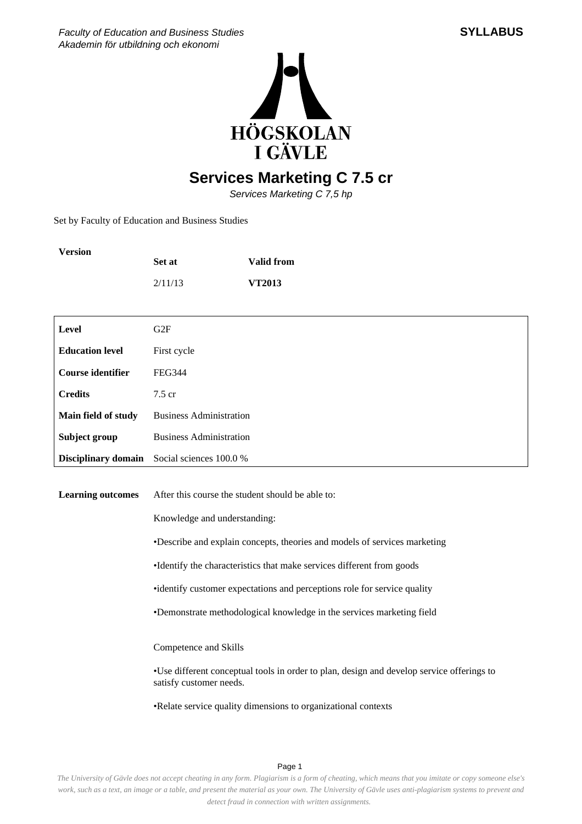



## **Services Marketing C 7.5 cr**

Services Marketing C 7,5 hp

Set by Faculty of Education and Business Studies

| <b>Version</b>           | Set at                                                                     | <b>Valid from</b>                                                                          |  |
|--------------------------|----------------------------------------------------------------------------|--------------------------------------------------------------------------------------------|--|
|                          | 2/11/13                                                                    | VT2013                                                                                     |  |
|                          |                                                                            |                                                                                            |  |
| Level                    | G <sub>2F</sub>                                                            |                                                                                            |  |
| <b>Education level</b>   | First cycle                                                                |                                                                                            |  |
| <b>Course identifier</b> | <b>FEG344</b>                                                              |                                                                                            |  |
| <b>Credits</b>           | 7.5 cr                                                                     |                                                                                            |  |
| Main field of study      | <b>Business Administration</b>                                             |                                                                                            |  |
| Subject group            | <b>Business Administration</b>                                             |                                                                                            |  |
| Disciplinary domain      | Social sciences 100.0 %                                                    |                                                                                            |  |
|                          |                                                                            |                                                                                            |  |
| <b>Learning outcomes</b> | After this course the student should be able to:                           |                                                                                            |  |
|                          | Knowledge and understanding:                                               |                                                                                            |  |
|                          | • Describe and explain concepts, theories and models of services marketing |                                                                                            |  |
|                          | • Identify the characteristics that make services different from goods     |                                                                                            |  |
|                          | • identify customer expectations and perceptions role for service quality  |                                                                                            |  |
|                          |                                                                            | • Demonstrate methodological knowledge in the services marketing field                     |  |
|                          |                                                                            |                                                                                            |  |
|                          | Competence and Skills                                                      |                                                                                            |  |
|                          | satisfy customer needs.                                                    | • Use different conceptual tools in order to plan, design and develop service offerings to |  |
|                          |                                                                            | • Relate service quality dimensions to organizational contexts                             |  |

Page 1

*The University of Gävle does not accept cheating in any form. Plagiarism is a form of cheating, which means that you imitate or copy someone else's work, such as a text, an image or a table, and present the material as your own. The University of Gävle uses anti-plagiarism systems to prevent and detect fraud in connection with written assignments.*